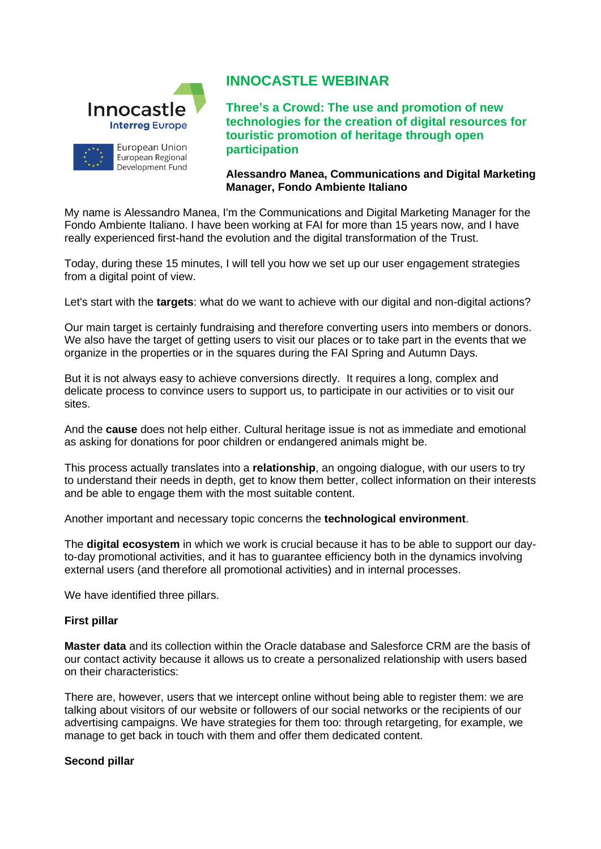

# **INNOCASTLE WEBINAR**

**Three's a Crowd: The use and promotion of new technologies for the creation of digital resources for touristic promotion of heritage through open participation**

### **Alessandro Manea, Communications and Digital Marketing Manager, Fondo Ambiente Italiano**

My name is Alessandro Manea, I'm the Communications and Digital Marketing Manager for the Fondo Ambiente Italiano. I have been working at FAI for more than 15 years now, and I have really experienced first-hand the evolution and the digital transformation of the Trust.

Today, during these 15 minutes, I will tell you how we set up our user engagement strategies from a digital point of view.

Let's start with the **targets**: what do we want to achieve with our digital and non-digital actions?

Our main target is certainly fundraising and therefore converting users into members or donors. We also have the target of getting users to visit our places or to take part in the events that we organize in the properties or in the squares during the FAI Spring and Autumn Days.

But it is not always easy to achieve conversions directly. It requires a long, complex and delicate process to convince users to support us, to participate in our activities or to visit our sites.

And the **cause** does not help either. Cultural heritage issue is not as immediate and emotional as asking for donations for poor children or endangered animals might be.

This process actually translates into a **relationship**, an ongoing dialogue, with our users to try to understand their needs in depth, get to know them better, collect information on their interests and be able to engage them with the most suitable content.

Another important and necessary topic concerns the **technological environment**.

The **digital ecosystem** in which we work is crucial because it has to be able to support our dayto-day promotional activities, and it has to guarantee efficiency both in the dynamics involving external users (and therefore all promotional activities) and in internal processes.

We have identified three pillars.

## **First pillar**

**Master data** and its collection within the Oracle database and Salesforce CRM are the basis of our contact activity because it allows us to create a personalized relationship with users based on their characteristics:

There are, however, users that we intercept online without being able to register them: we are talking about visitors of our website or followers of our social networks or the recipients of our advertising campaigns. We have strategies for them too: through retargeting, for example, we manage to get back in touch with them and offer them dedicated content.

### **Second pillar**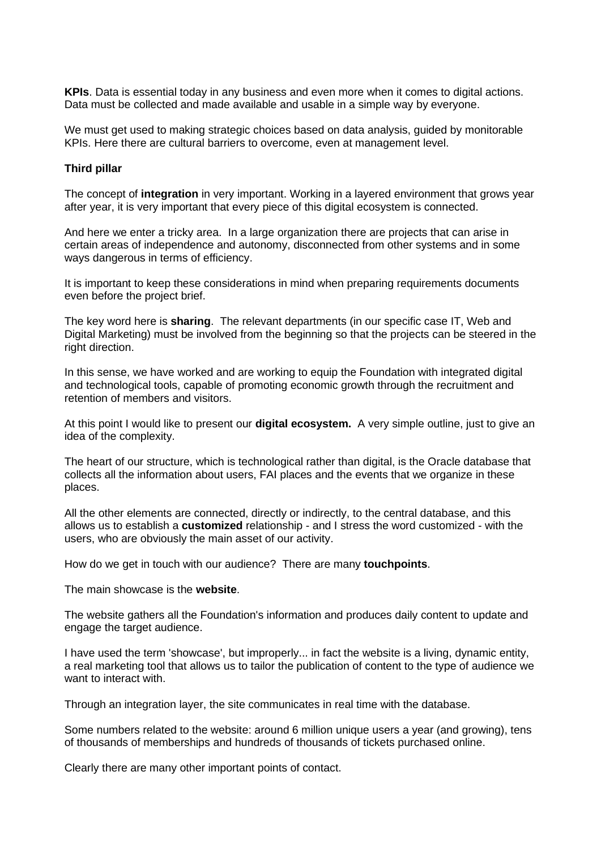**KPIs**. Data is essential today in any business and even more when it comes to digital actions. Data must be collected and made available and usable in a simple way by everyone.

We must get used to making strategic choices based on data analysis, guided by monitorable KPIs. Here there are cultural barriers to overcome, even at management level.

## **Third pillar**

The concept of **integration** in very important. Working in a layered environment that grows year after year, it is very important that every piece of this digital ecosystem is connected.

And here we enter a tricky area. In a large organization there are projects that can arise in certain areas of independence and autonomy, disconnected from other systems and in some ways dangerous in terms of efficiency.

It is important to keep these considerations in mind when preparing requirements documents even before the project brief.

The key word here is **sharing**. The relevant departments (in our specific case IT, Web and Digital Marketing) must be involved from the beginning so that the projects can be steered in the right direction.

In this sense, we have worked and are working to equip the Foundation with integrated digital and technological tools, capable of promoting economic growth through the recruitment and retention of members and visitors.

At this point I would like to present our **digital ecosystem.** A very simple outline, just to give an idea of the complexity.

The heart of our structure, which is technological rather than digital, is the Oracle database that collects all the information about users, FAI places and the events that we organize in these places.

All the other elements are connected, directly or indirectly, to the central database, and this allows us to establish a **customized** relationship - and I stress the word customized - with the users, who are obviously the main asset of our activity.

How do we get in touch with our audience? There are many **touchpoints**.

The main showcase is the **website**.

The website gathers all the Foundation's information and produces daily content to update and engage the target audience.

I have used the term 'showcase', but improperly... in fact the website is a living, dynamic entity, a real marketing tool that allows us to tailor the publication of content to the type of audience we want to interact with.

Through an integration layer, the site communicates in real time with the database.

Some numbers related to the website: around 6 million unique users a year (and growing), tens of thousands of memberships and hundreds of thousands of tickets purchased online.

Clearly there are many other important points of contact.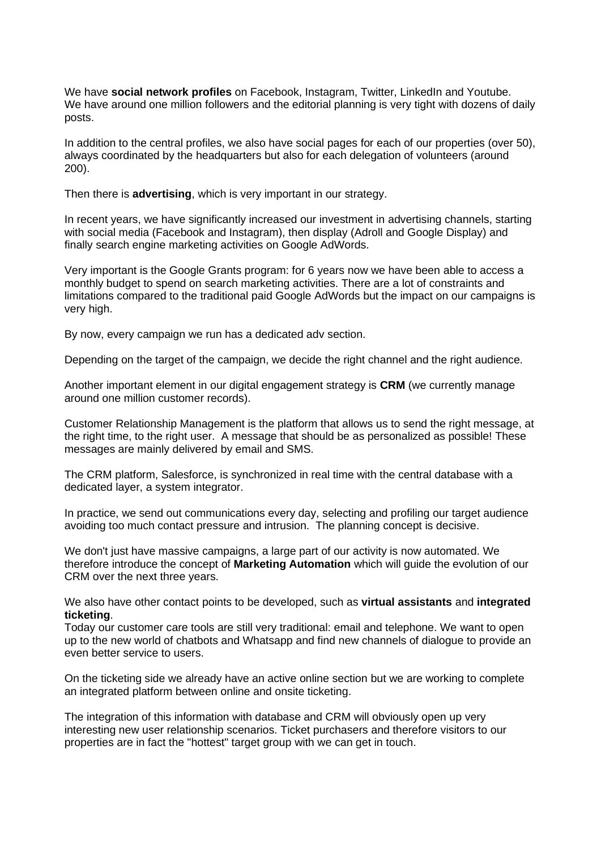We have **social network profiles** on Facebook, Instagram, Twitter, LinkedIn and Youtube. We have around one million followers and the editorial planning is very tight with dozens of daily posts.

In addition to the central profiles, we also have social pages for each of our properties (over 50), always coordinated by the headquarters but also for each delegation of volunteers (around 200).

Then there is **advertising**, which is very important in our strategy.

In recent years, we have significantly increased our investment in advertising channels, starting with social media (Facebook and Instagram), then display (Adroll and Google Display) and finally search engine marketing activities on Google AdWords.

Very important is the Google Grants program: for 6 years now we have been able to access a monthly budget to spend on search marketing activities. There are a lot of constraints and limitations compared to the traditional paid Google AdWords but the impact on our campaigns is very high.

By now, every campaign we run has a dedicated adv section.

Depending on the target of the campaign, we decide the right channel and the right audience.

Another important element in our digital engagement strategy is **CRM** (we currently manage around one million customer records).

Customer Relationship Management is the platform that allows us to send the right message, at the right time, to the right user. A message that should be as personalized as possible! These messages are mainly delivered by email and SMS.

The CRM platform, Salesforce, is synchronized in real time with the central database with a dedicated layer, a system integrator.

In practice, we send out communications every day, selecting and profiling our target audience avoiding too much contact pressure and intrusion. The planning concept is decisive.

We don't just have massive campaigns, a large part of our activity is now automated. We therefore introduce the concept of **Marketing Automation** which will guide the evolution of our CRM over the next three years.

We also have other contact points to be developed, such as **virtual assistants** and **integrated ticketing**.

Today our customer care tools are still very traditional: email and telephone. We want to open up to the new world of chatbots and Whatsapp and find new channels of dialogue to provide an even better service to users.

On the ticketing side we already have an active online section but we are working to complete an integrated platform between online and onsite ticketing.

The integration of this information with database and CRM will obviously open up very interesting new user relationship scenarios. Ticket purchasers and therefore visitors to our properties are in fact the "hottest" target group with we can get in touch.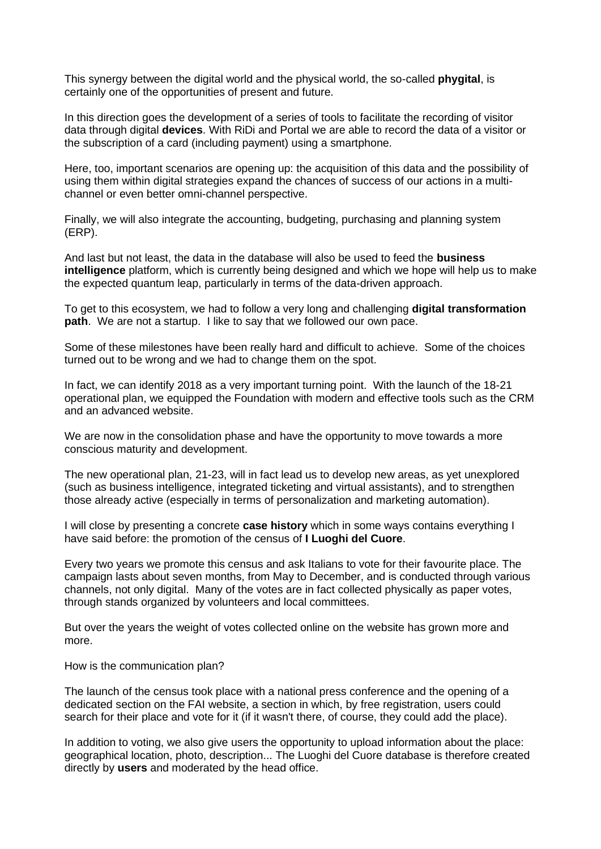This synergy between the digital world and the physical world, the so-called **phygital**, is certainly one of the opportunities of present and future.

In this direction goes the development of a series of tools to facilitate the recording of visitor data through digital **devices**. With RiDi and Portal we are able to record the data of a visitor or the subscription of a card (including payment) using a smartphone.

Here, too, important scenarios are opening up: the acquisition of this data and the possibility of using them within digital strategies expand the chances of success of our actions in a multichannel or even better omni-channel perspective.

Finally, we will also integrate the accounting, budgeting, purchasing and planning system (ERP).

And last but not least, the data in the database will also be used to feed the **business intelligence** platform, which is currently being designed and which we hope will help us to make the expected quantum leap, particularly in terms of the data-driven approach.

To get to this ecosystem, we had to follow a very long and challenging **digital transformation path**. We are not a startup. I like to say that we followed our own pace.

Some of these milestones have been really hard and difficult to achieve. Some of the choices turned out to be wrong and we had to change them on the spot.

In fact, we can identify 2018 as a very important turning point. With the launch of the 18-21 operational plan, we equipped the Foundation with modern and effective tools such as the CRM and an advanced website.

We are now in the consolidation phase and have the opportunity to move towards a more conscious maturity and development.

The new operational plan, 21-23, will in fact lead us to develop new areas, as yet unexplored (such as business intelligence, integrated ticketing and virtual assistants), and to strengthen those already active (especially in terms of personalization and marketing automation).

I will close by presenting a concrete **case history** which in some ways contains everything I have said before: the promotion of the census of **I Luoghi del Cuore**.

Every two years we promote this census and ask Italians to vote for their favourite place. The campaign lasts about seven months, from May to December, and is conducted through various channels, not only digital. Many of the votes are in fact collected physically as paper votes, through stands organized by volunteers and local committees.

But over the years the weight of votes collected online on the website has grown more and more.

How is the communication plan?

The launch of the census took place with a national press conference and the opening of a dedicated section on the FAI website, a section in which, by free registration, users could search for their place and vote for it (if it wasn't there, of course, they could add the place).

In addition to voting, we also give users the opportunity to upload information about the place: geographical location, photo, description... The Luoghi del Cuore database is therefore created directly by **users** and moderated by the head office.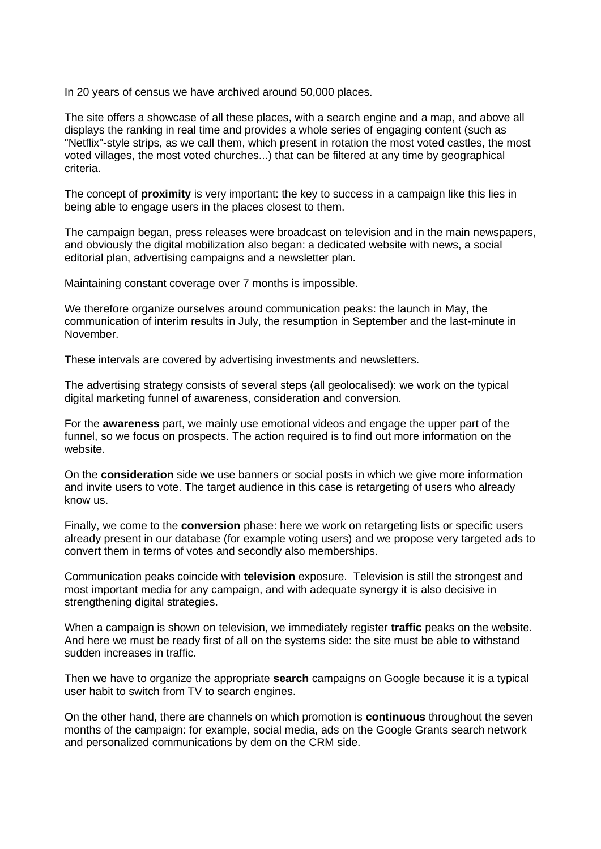In 20 years of census we have archived around 50,000 places.

The site offers a showcase of all these places, with a search engine and a map, and above all displays the ranking in real time and provides a whole series of engaging content (such as "Netflix"-style strips, as we call them, which present in rotation the most voted castles, the most voted villages, the most voted churches...) that can be filtered at any time by geographical criteria.

The concept of **proximity** is very important: the key to success in a campaign like this lies in being able to engage users in the places closest to them.

The campaign began, press releases were broadcast on television and in the main newspapers, and obviously the digital mobilization also began: a dedicated website with news, a social editorial plan, advertising campaigns and a newsletter plan.

Maintaining constant coverage over 7 months is impossible.

We therefore organize ourselves around communication peaks: the launch in May, the communication of interim results in July, the resumption in September and the last-minute in November.

These intervals are covered by advertising investments and newsletters.

The advertising strategy consists of several steps (all geolocalised): we work on the typical digital marketing funnel of awareness, consideration and conversion.

For the **awareness** part, we mainly use emotional videos and engage the upper part of the funnel, so we focus on prospects. The action required is to find out more information on the website.

On the **consideration** side we use banners or social posts in which we give more information and invite users to vote. The target audience in this case is retargeting of users who already know us.

Finally, we come to the **conversion** phase: here we work on retargeting lists or specific users already present in our database (for example voting users) and we propose very targeted ads to convert them in terms of votes and secondly also memberships.

Communication peaks coincide with **television** exposure. Television is still the strongest and most important media for any campaign, and with adequate synergy it is also decisive in strengthening digital strategies.

When a campaign is shown on television, we immediately register **traffic** peaks on the website. And here we must be ready first of all on the systems side: the site must be able to withstand sudden increases in traffic.

Then we have to organize the appropriate **search** campaigns on Google because it is a typical user habit to switch from TV to search engines.

On the other hand, there are channels on which promotion is **continuous** throughout the seven months of the campaign: for example, social media, ads on the Google Grants search network and personalized communications by dem on the CRM side.